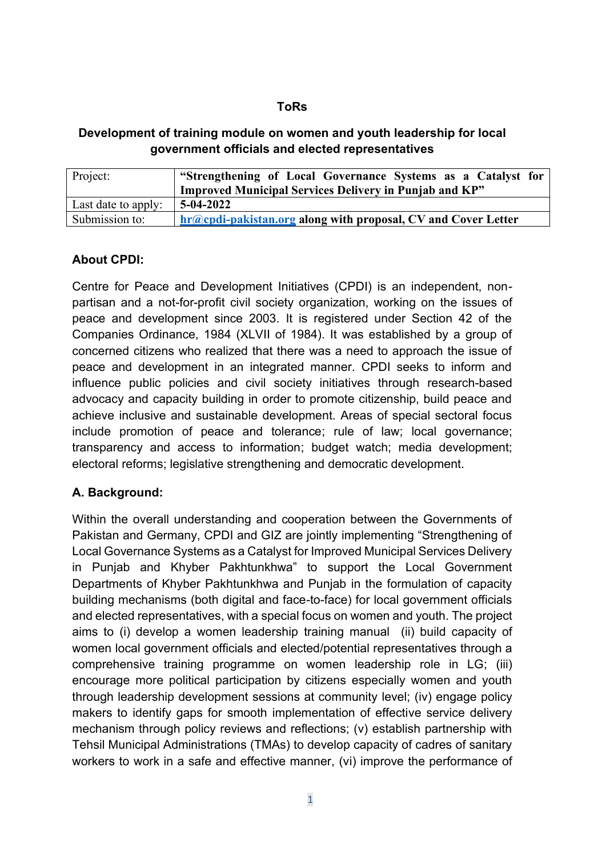#### **ToRs**

#### **Development of training module on women and youth leadership for local government officials and elected representatives**

| Project:            | "Strengthening of Local Governance Systems as a Catalyst for<br>Improved Municipal Services Delivery in Punjab and KP" |
|---------------------|------------------------------------------------------------------------------------------------------------------------|
| Last date to apply: | $5-04-2022$                                                                                                            |
| Submission to:      | $hr@cold-pakistan.org$ along with proposal, CV and Cover Letter                                                        |

#### **About CPDI:**

Centre for Peace and Development Initiatives (CPDI) is an independent, nonpartisan and a not-for-profit civil society organization, working on the issues of peace and development since 2003. It is registered under Section 42 of the Companies Ordinance, 1984 (XLVII of 1984). It was established by a group of concerned citizens who realized that there was a need to approach the issue of peace and development in an integrated manner. CPDI seeks to inform and influence public policies and civil society initiatives through research-based advocacy and capacity building in order to promote citizenship, build peace and achieve inclusive and sustainable development. Areas of special sectoral focus include promotion of peace and tolerance; rule of law; local governance; transparency and access to information; budget watch; media development; electoral reforms; legislative strengthening and democratic development.

# **A. Background:**

Within the overall understanding and cooperation between the Governments of Pakistan and Germany, CPDI and GIZ are jointly implementing "Strengthening of Local Governance Systems as a Catalyst for Improved Municipal Services Delivery in Punjab and Khyber Pakhtunkhwa" to support the Local Government Departments of Khyber Pakhtunkhwa and Punjab in the formulation of capacity building mechanisms (both digital and face-to-face) for local government officials and elected representatives, with a special focus on women and youth. The project aims to (i) develop a women leadership training manual (ii) build capacity of women local government officials and elected/potential representatives through a comprehensive training programme on women leadership role in LG; (iii) encourage more political participation by citizens especially women and youth through leadership development sessions at community level; (iv) engage policy makers to identify gaps for smooth implementation of effective service delivery mechanism through policy reviews and reflections; (v) establish partnership with Tehsil Municipal Administrations (TMAs) to develop capacity of cadres of sanitary workers to work in a safe and effective manner, (vi) improve the performance of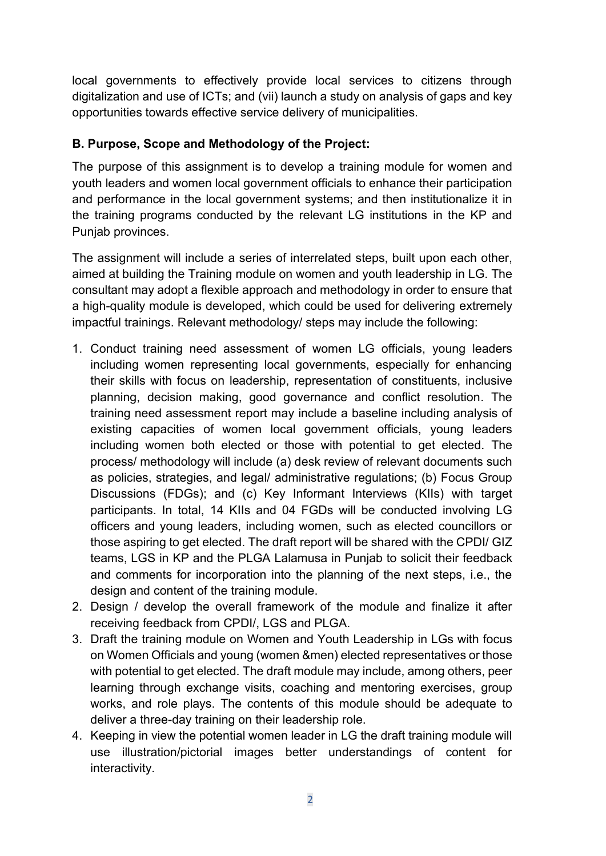local governments to effectively provide local services to citizens through digitalization and use of ICTs; and (vii) launch a study on analysis of gaps and key opportunities towards effective service delivery of municipalities.

### **B. Purpose, Scope and Methodology of the Project:**

The purpose of this assignment is to develop a training module for women and youth leaders and women local government officials to enhance their participation and performance in the local government systems; and then institutionalize it in the training programs conducted by the relevant LG institutions in the KP and Punjab provinces.

The assignment will include a series of interrelated steps, built upon each other, aimed at building the Training module on women and youth leadership in LG. The consultant may adopt a flexible approach and methodology in order to ensure that a high-quality module is developed, which could be used for delivering extremely impactful trainings. Relevant methodology/ steps may include the following:

- 1. Conduct training need assessment of women LG officials, young leaders including women representing local governments, especially for enhancing their skills with focus on leadership, representation of constituents, inclusive planning, decision making, good governance and conflict resolution. The training need assessment report may include a baseline including analysis of existing capacities of women local government officials, young leaders including women both elected or those with potential to get elected. The process/ methodology will include (a) desk review of relevant documents such as policies, strategies, and legal/ administrative regulations; (b) Focus Group Discussions (FDGs); and (c) Key Informant Interviews (KIIs) with target participants. In total, 14 KIIs and 04 FGDs will be conducted involving LG officers and young leaders, including women, such as elected councillors or those aspiring to get elected. The draft report will be shared with the CPDI/ GIZ teams, LGS in KP and the PLGA Lalamusa in Punjab to solicit their feedback and comments for incorporation into the planning of the next steps, i.e., the design and content of the training module.
- 2. Design / develop the overall framework of the module and finalize it after receiving feedback from CPDI/, LGS and PLGA.
- 3. Draft the training module on Women and Youth Leadership in LGs with focus on Women Officials and young (women &men) elected representatives or those with potential to get elected. The draft module may include, among others, peer learning through exchange visits, coaching and mentoring exercises, group works, and role plays. The contents of this module should be adequate to deliver a three-day training on their leadership role.
- 4. Keeping in view the potential women leader in LG the draft training module will use illustration/pictorial images better understandings of content for interactivity.